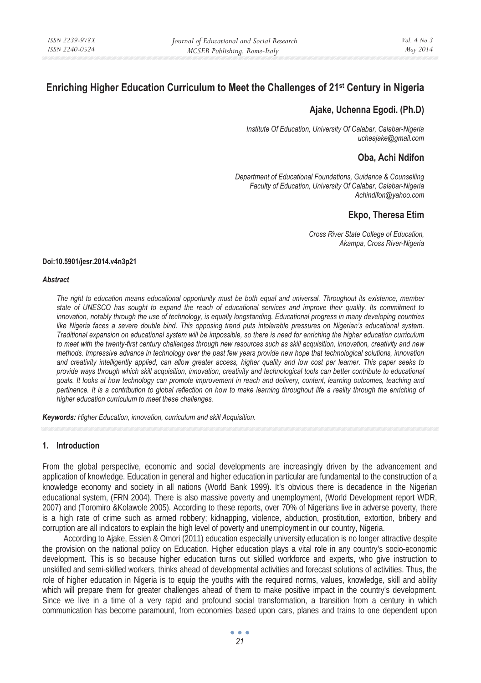# **Enriching Higher Education Curriculum to Meet the Challenges of 21st Century in Nigeria**

# **Ajake, Uchenna Egodi. (Ph.D)**

*Institute Of Education, University Of Calabar, Calabar-Nigeria ucheajake@gmail.com* 

# **Oba, Achi Ndifon**

*Department of Educational Foundations, Guidance & Counselling Faculty of Education, University Of Calabar, Calabar-Nigeria Achindifon@yahoo.com* 

# **Ekpo, Theresa Etim**

*Cross River State College of Education, Akampa, Cross River-Nigeria* 

#### **Doi:10.5901/jesr.2014.v4n3p21**

#### *Abstract*

*The right to education means educational opportunity must be both equal and universal. Throughout its existence, member state of UNESCO has sought to expand the reach of educational services and improve their quality. Its commitment to innovation, notably through the use of technology, is equally longstanding. Educational progress in many developing countries like Nigeria faces a severe double bind. This opposing trend puts intolerable pressures on Nigerian's educational system. Traditional expansion on educational system will be impossible, so there is need for enriching the higher education curriculum to meet with the twenty-first century challenges through new resources such as skill acquisition, innovation, creativity and new methods. Impressive advance in technology over the past few years provide new hope that technological solutions, innovation and creativity intelligently applied, can allow greater access, higher quality and low cost per learner. This paper seeks to provide ways through which skill acquisition, innovation, creativity and technological tools can better contribute to educational goals. It looks at how technology can promote improvement in reach and delivery, content, learning outcomes, teaching and pertinence. It is a contribution to global reflection on how to make learning throughout life a reality through the enriching of higher education curriculum to meet these challenges.* 

*Keywords: Higher Education, innovation, curriculum and skill Acquisition.* 

#### **1. Introduction**

From the global perspective, economic and social developments are increasingly driven by the advancement and application of knowledge. Education in general and higher education in particular are fundamental to the construction of a knowledge economy and society in all nations (World Bank 1999). It's obvious there is decadence in the Nigerian educational system, (FRN 2004). There is also massive poverty and unemployment, (World Development report WDR, 2007) and (Toromiro &Kolawole 2005). According to these reports, over 70% of Nigerians live in adverse poverty, there is a high rate of crime such as armed robbery; kidnapping, violence, abduction, prostitution, extortion, bribery and corruption are all indicators to explain the high level of poverty and unemployment in our country, Nigeria.

According to Ajake, Essien & Omori (2011) education especially university education is no longer attractive despite the provision on the national policy on Education. Higher education plays a vital role in any country's socio-economic development. This is so because higher education turns out skilled workforce and experts, who give instruction to unskilled and semi-skilled workers, thinks ahead of developmental activities and forecast solutions of activities. Thus, the role of higher education in Nigeria is to equip the youths with the required norms, values, knowledge, skill and ability which will prepare them for greater challenges ahead of them to make positive impact in the country's development. Since we live in a time of a very rapid and profound social transformation, a transition from a century in which communication has become paramount, from economies based upon cars, planes and trains to one dependent upon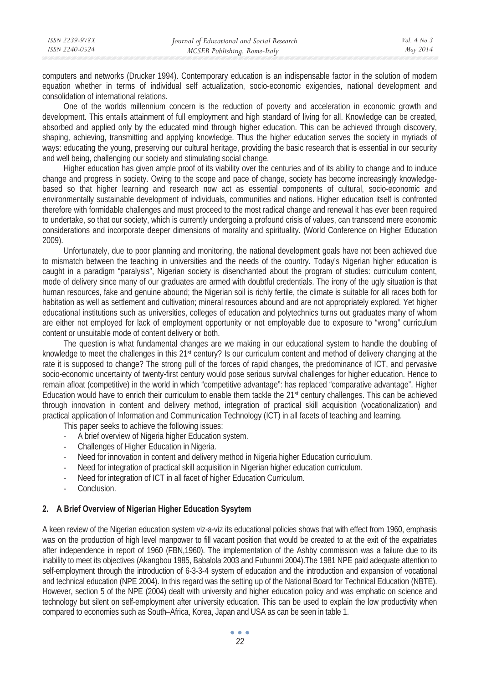computers and networks (Drucker 1994). Contemporary education is an indispensable factor in the solution of modern equation whether in terms of individual self actualization, socio-economic exigencies, national development and consolidation of international relations.

One of the worlds millennium concern is the reduction of poverty and acceleration in economic growth and development. This entails attainment of full employment and high standard of living for all. Knowledge can be created, absorbed and applied only by the educated mind through higher education. This can be achieved through discovery, shaping, achieving, transmitting and applying knowledge. Thus the higher education serves the society in myriads of ways: educating the young, preserving our cultural heritage, providing the basic research that is essential in our security and well being, challenging our society and stimulating social change.

Higher education has given ample proof of its viability over the centuries and of its ability to change and to induce change and progress in society. Owing to the scope and pace of change, society has become increasingly knowledgebased so that higher learning and research now act as essential components of cultural, socio-economic and environmentally sustainable development of individuals, communities and nations. Higher education itself is confronted therefore with formidable challenges and must proceed to the most radical change and renewal it has ever been required to undertake, so that our society, which is currently undergoing a profound crisis of values, can transcend mere economic considerations and incorporate deeper dimensions of morality and spirituality. (World Conference on Higher Education 2009).

Unfortunately, due to poor planning and monitoring, the national development goals have not been achieved due to mismatch between the teaching in universities and the needs of the country. Today's Nigerian higher education is caught in a paradigm "paralysis", Nigerian society is disenchanted about the program of studies: curriculum content, mode of delivery since many of our graduates are armed with doubtful credentials. The irony of the ugly situation is that human resources, fake and genuine abound; the Nigerian soil is richly fertile, the climate is suitable for all races both for habitation as well as settlement and cultivation; mineral resources abound and are not appropriately explored. Yet higher educational institutions such as universities, colleges of education and polytechnics turns out graduates many of whom are either not employed for lack of employment opportunity or not employable due to exposure to "wrong" curriculum content or unsuitable mode of content delivery or both.

The question is what fundamental changes are we making in our educational system to handle the doubling of knowledge to meet the challenges in this 21<sup>st</sup> century? Is our curriculum content and method of delivery changing at the rate it is supposed to change? The strong pull of the forces of rapid changes, the predominance of ICT, and pervasive socio-economic uncertainty of twenty-first century would pose serious survival challenges for higher education. Hence to remain afloat (competitive) in the world in which "competitive advantage": has replaced "comparative advantage". Higher Education would have to enrich their curriculum to enable them tackle the 21st century challenges. This can be achieved through innovation in content and delivery method, integration of practical skill acquisition (vocationalization) and practical application of Information and Communication Technology (ICT) in all facets of teaching and learning.

This paper seeks to achieve the following issues:

- A brief overview of Nigeria higher Education system.
- Challenges of Higher Education in Nigeria.
- Need for innovation in content and delivery method in Nigeria higher Education curriculum.
- Need for integration of practical skill acquisition in Nigerian higher education curriculum.
- Need for integration of ICT in all facet of higher Education Curriculum.
- Conclusion.

### **2. A Brief Overview of Nigerian Higher Education Sysytem**

A keen review of the Nigerian education system viz-a-viz its educational policies shows that with effect from 1960, emphasis was on the production of high level manpower to fill vacant position that would be created to at the exit of the expatriates after independence in report of 1960 (FBN,1960). The implementation of the Ashby commission was a failure due to its inability to meet its objectives (Akangbou 1985, Babalola 2003 and Fubunmi 2004).The 1981 NPE paid adequate attention to self-employment through the introduction of 6-3-3-4 system of education and the introduction and expansion of vocational and technical education (NPE 2004). In this regard was the setting up of the National Board for Technical Education (NBTE). However, section 5 of the NPE (2004) dealt with university and higher education policy and was emphatic on science and technology but silent on self-employment after university education. This can be used to explain the low productivity when compared to economies such as South–Africa, Korea, Japan and USA as can be seen in table 1.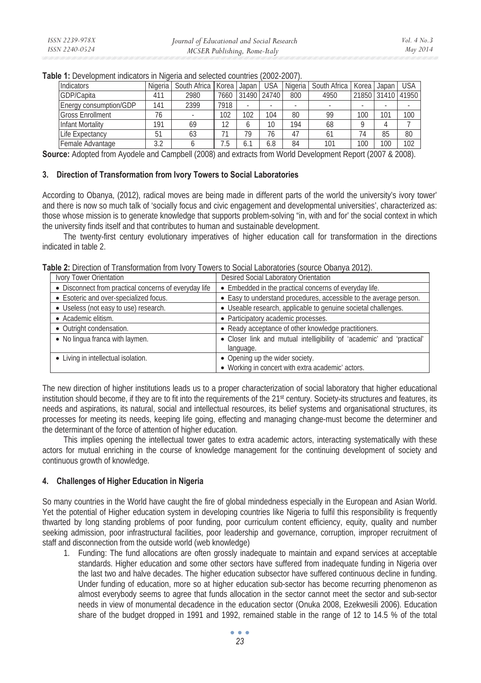| Indicators              | Nigeria | South Africa | Korea | Japan | USA         | Nigeria | South Africa | Korea | Japan             | <b>USA</b> |
|-------------------------|---------|--------------|-------|-------|-------------|---------|--------------|-------|-------------------|------------|
| GDP/Capita              | 411     | 2980         | 7660  |       | 31490 24740 | 800     | 4950         |       | 21850 31410 41950 |            |
| Energy consumption/GDP  | 141     | 2399         | 7918  |       |             |         |              |       | ۰                 |            |
| <b>Gross Enrollment</b> | 76      |              | 102   | 102   | 104         | 80      | 99           | 100   | 101               | 100        |
| Infant Mortality        | 191     | 69           | 12    |       | 10          | 194     | 68           |       |                   |            |
| Life Expectancy         | 51      | 63           |       | 79    | 76          | 47      | 61           |       | 85                | 80         |
| Female Advantage        | 3.2     |              |       |       | 6.8         | 84      | 101          | 100   | 100               | 102        |

**Table 1:** Development indicators in Nigeria and selected countries (2002-2007).

**Source:** Adopted from Ayodele and Campbell (2008) and extracts from World Development Report (2007 & 2008).

#### **3. Direction of Transformation from Ivory Towers to Social Laboratories**

According to Obanya, (2012), radical moves are being made in different parts of the world the university's ivory tower' and there is now so much talk of 'socially focus and civic engagement and developmental universities', characterized as: those whose mission is to generate knowledge that supports problem-solving "in, with and for' the social context in which the university finds itself and that contributes to human and sustainable development.

The twenty-first century evolutionary imperatives of higher education call for transformation in the directions indicated in table 2.

**Table 2:** Direction of Transformation from Ivory Towers to Social Laboratories (source Obanya 2012).

| Ivory Tower Orientation                               | Desired Social Laboratory Orientation                                               |  |  |
|-------------------------------------------------------|-------------------------------------------------------------------------------------|--|--|
| • Disconnect from practical concerns of everyday life | • Embedded in the practical concerns of everyday life.                              |  |  |
| • Esoteric and over-specialized focus.                | • Easy to understand procedures, accessible to the average person.                  |  |  |
| • Useless (not easy to use) research.                 | • Useable research, applicable to genuine societal challenges.                      |  |  |
| • Academic elitism.                                   | • Participatory academic processes.                                                 |  |  |
| • Outright condensation.                              | • Ready acceptance of other knowledge practitioners.                                |  |  |
| • No lingua franca with laymen.                       | • Closer link and mutual intelligibility of 'academic' and 'practical'<br>language. |  |  |
| • Living in intellectual isolation.                   | • Opening up the wider society.                                                     |  |  |
|                                                       | • Working in concert with extra academic' actors.                                   |  |  |

The new direction of higher institutions leads us to a proper characterization of social laboratory that higher educational institution should become, if they are to fit into the requirements of the 21<sup>st</sup> century. Society-its structures and features, its needs and aspirations, its natural, social and intellectual resources, its belief systems and organisational structures, its processes for meeting its needs, keeping life going, effecting and managing change-must become the determiner and the determinant of the force of attention of higher education.

This implies opening the intellectual tower gates to extra academic actors, interacting systematically with these actors for mutual enriching in the course of knowledge management for the continuing development of society and continuous growth of knowledge.

# **4. Challenges of Higher Education in Nigeria**

So many countries in the World have caught the fire of global mindedness especially in the European and Asian World. Yet the potential of Higher education system in developing countries like Nigeria to fulfil this responsibility is frequently thwarted by long standing problems of poor funding, poor curriculum content efficiency, equity, quality and number seeking admission, poor infrastructural facilities, poor leadership and governance, corruption, improper recruitment of staff and disconnection from the outside world (web knowledge)

1. Funding: The fund allocations are often grossly inadequate to maintain and expand services at acceptable standards. Higher education and some other sectors have suffered from inadequate funding in Nigeria over the last two and halve decades. The higher education subsector have suffered continuous decline in funding. Under funding of education, more so at higher education sub-sector has become recurring phenomenon as almost everybody seems to agree that funds allocation in the sector cannot meet the sector and sub-sector needs in view of monumental decadence in the education sector (Onuka 2008, Ezekwesili 2006). Education share of the budget dropped in 1991 and 1992, remained stable in the range of 12 to 14.5 % of the total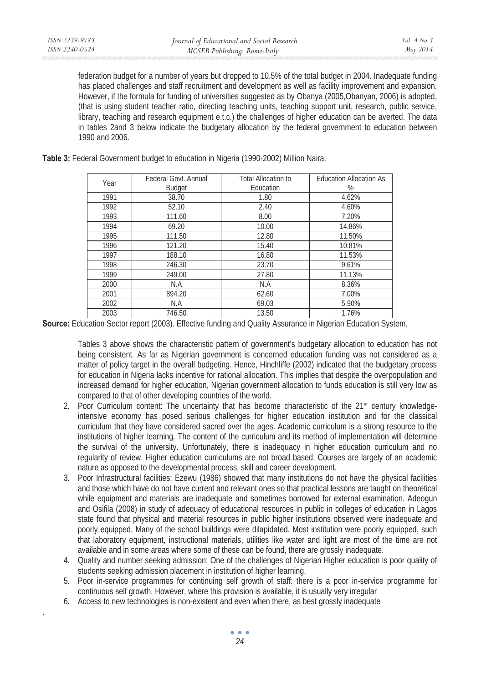.

federation budget for a number of years but dropped to 10.5% of the total budget in 2004. Inadequate funding has placed challenges and staff recruitment and development as well as facility improvement and expansion. However, if the formula for funding of universities suggested as by Obanya (2005,Obanyan, 2006) is adopted, (that is using student teacher ratio, directing teaching units, teaching support unit, research, public service, library, teaching and research equipment e.t.c.) the challenges of higher education can be averted. The data in tables 2and 3 below indicate the budgetary allocation by the federal government to education between 1990 and 2006.

|  |  | Table 3: Federal Government budget to education in Nigeria (1990-2002) Million Naira. |  |
|--|--|---------------------------------------------------------------------------------------|--|
|  |  |                                                                                       |  |

| Year | Federal Govt, Annual | <b>Total Allocation to</b> | <b>Education Allocation As</b> |
|------|----------------------|----------------------------|--------------------------------|
|      | <b>Budget</b>        | Education                  | $\%$                           |
| 1991 | 38.70                | 1.80                       | 4.62%                          |
| 1992 | 52.10                | 2.40                       | 4.60%                          |
| 1993 | 111.60               | 8.00                       | 7.20%                          |
| 1994 | 69.20                | 10.00                      | 14.86%                         |
| 1995 | 111.50               | 12.80                      | 11.50%                         |
| 1996 | 121.20               | 15.40                      | 10.81%                         |
| 1997 | 188.10               | 16.80                      | 11.53%                         |
| 1998 | 246.30               | 23.70                      | 9.61%                          |
| 1999 | 249.00               | 27.80                      | 11.13%                         |
| 2000 | N.A                  | N.A                        | 8.36%                          |
| 2001 | 894.20               | 62.60                      | 7.00%                          |
| 2002 | N.A                  | 69.03                      | 5.90%                          |
| 2003 | 746.50               | 13.50                      | 1.76%                          |

**Source:** Education Sector report (2003). Effective funding and Quality Assurance in Nigerian Education System.

Tables 3 above shows the characteristic pattern of government's budgetary allocation to education has not being consistent. As far as Nigerian government is concerned education funding was not considered as a matter of policy target in the overall budgeting. Hence, Hinchliffe (2002) indicated that the budgetary process for education in Nigeria lacks incentive for rational allocation. This implies that despite the overpopulation and increased demand for higher education, Nigerian government allocation to funds education is still very low as compared to that of other developing countries of the world.

- 2. Poor Curriculum content: The uncertainty that has become characteristic of the 21<sup>st</sup> century knowledgeintensive economy has posed serious challenges for higher education institution and for the classical curriculum that they have considered sacred over the ages. Academic curriculum is a strong resource to the institutions of higher learning. The content of the curriculum and its method of implementation will determine the survival of the university. Unfortunately, there is inadequacy in higher education curriculum and no regularity of review. Higher education curriculums are not broad based. Courses are largely of an academic nature as opposed to the developmental process, skill and career development.
- 3. Poor Infrastructural facilities: Ezewu (1986) showed that many institutions do not have the physical facilities and those which have do not have current and relevant ones so that practical lessons are taught on theoretical while equipment and materials are inadequate and sometimes borrowed for external examination. Adeogun and Osifila (2008) in study of adequacy of educational resources in public in colleges of education in Lagos state found that physical and material resources in public higher institutions observed were inadequate and poorly equipped. Many of the school buildings were dilapidated. Most institution were poorly equipped, such that laboratory equipment, instructional materials, utilities like water and light are most of the time are not available and in some areas where some of these can be found, there are grossly inadequate.
- 4. Quality and number seeking admission: One of the challenges of Nigerian Higher education is poor quality of students seeking admission placement in institution of higher learning.
- 5. Poor in-service programmes for continuing self growth of staff: there is a poor in-service programme for continuous self growth. However, where this provision is available, it is usually very irregular
- 6. Access to new technologies is non-existent and even when there, as best grossly inadequate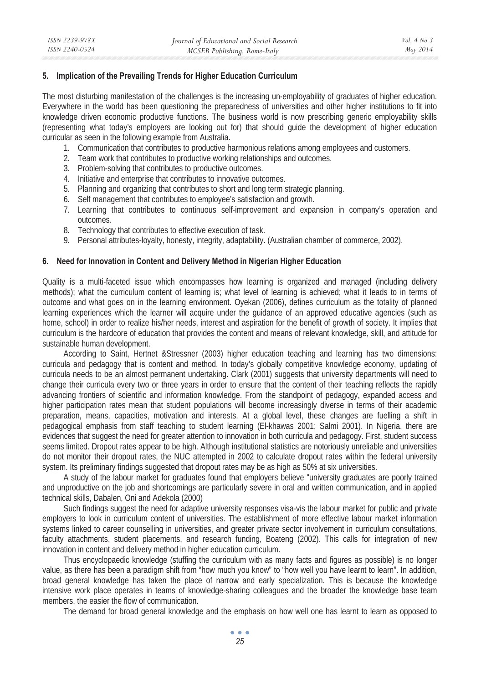### **5. Implication of the Prevailing Trends for Higher Education Curriculum**

The most disturbing manifestation of the challenges is the increasing un-employability of graduates of higher education. Everywhere in the world has been questioning the preparedness of universities and other higher institutions to fit into knowledge driven economic productive functions. The business world is now prescribing generic employability skills (representing what today's employers are looking out for) that should guide the development of higher education curricular as seen in the following example from Australia.

- 1. Communication that contributes to productive harmonious relations among employees and customers.
- 2. Team work that contributes to productive working relationships and outcomes.
- 3. Problem-solving that contributes to productive outcomes.
- 4. Initiative and enterprise that contributes to innovative outcomes.
- 5. Planning and organizing that contributes to short and long term strategic planning.
- 6. Self management that contributes to employee's satisfaction and growth.
- 7. Learning that contributes to continuous self-improvement and expansion in company's operation and outcomes.
- 8. Technology that contributes to effective execution of task.
- 9. Personal attributes-loyalty, honesty, integrity, adaptability. (Australian chamber of commerce, 2002).

### **6. Need for Innovation in Content and Delivery Method in Nigerian Higher Education**

Quality is a multi-faceted issue which encompasses how learning is organized and managed (including delivery methods); what the curriculum content of learning is; what level of learning is achieved; what it leads to in terms of outcome and what goes on in the learning environment. Oyekan (2006), defines curriculum as the totality of planned learning experiences which the learner will acquire under the guidance of an approved educative agencies (such as home, school) in order to realize his/her needs, interest and aspiration for the benefit of growth of society. It implies that curriculum is the hardcore of education that provides the content and means of relevant knowledge, skill, and attitude for sustainable human development.

According to Saint, Hertnet &Stressner (2003) higher education teaching and learning has two dimensions: curricula and pedagogy that is content and method. In today's globally competitive knowledge economy, updating of curricula needs to be an almost permanent undertaking. Clark (2001) suggests that university departments will need to change their curricula every two or three years in order to ensure that the content of their teaching reflects the rapidly advancing frontiers of scientific and information knowledge. From the standpoint of pedagogy, expanded access and higher participation rates mean that student populations will become increasingly diverse in terms of their academic preparation, means, capacities, motivation and interests. At a global level, these changes are fuelling a shift in pedagogical emphasis from staff teaching to student learning (El-khawas 2001; Salmi 2001). In Nigeria, there are evidences that suggest the need for greater attention to innovation in both curricula and pedagogy. First, student success seems limited. Dropout rates appear to be high. Although institutional statistics are notoriously unreliable and universities do not monitor their dropout rates, the NUC attempted in 2002 to calculate dropout rates within the federal university system. Its preliminary findings suggested that dropout rates may be as high as 50% at six universities.

A study of the labour market for graduates found that employers believe "university graduates are poorly trained and unproductive on the job and shortcomings are particularly severe in oral and written communication, and in applied technical skills, Dabalen, Oni and Adekola (2000)

Such findings suggest the need for adaptive university responses visa-vis the labour market for public and private employers to look in curriculum content of universities. The establishment of more effective labour market information systems linked to career counselling in universities, and greater private sector involvement in curriculum consultations, faculty attachments, student placements, and research funding, Boateng (2002). This calls for integration of new innovation in content and delivery method in higher education curriculum.

Thus encyclopaedic knowledge (stuffing the curriculum with as many facts and figures as possible) is no longer value, as there has been a paradigm shift from "how much you know" to "how well you have learnt to learn". In addition, broad general knowledge has taken the place of narrow and early specialization. This is because the knowledge intensive work place operates in teams of knowledge-sharing colleagues and the broader the knowledge base team members, the easier the flow of communication.

The demand for broad general knowledge and the emphasis on how well one has learnt to learn as opposed to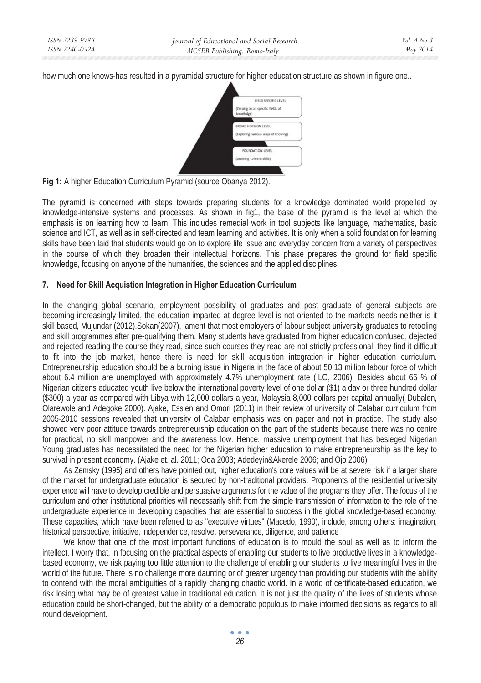how much one knows-has resulted in a pyramidal structure for higher education structure as shown in figure one..



**Fig 1:** A higher Education Curriculum Pyramid (source Obanya 2012).

The pyramid is concerned with steps towards preparing students for a knowledge dominated world propelled by knowledge-intensive systems and processes. As shown in fig1, the base of the pyramid is the level at which the emphasis is on learning how to learn. This includes remedial work in tool subjects like language, mathematics, basic science and ICT, as well as in self-directed and team learning and activities. It is only when a solid foundation for learning skills have been laid that students would go on to explore life issue and everyday concern from a variety of perspectives in the course of which they broaden their intellectual horizons. This phase prepares the ground for field specific knowledge, focusing on anyone of the humanities, the sciences and the applied disciplines.

# **7. Need for Skill Acquistion Integration in Higher Education Curriculum**

In the changing global scenario, employment possibility of graduates and post graduate of general subjects are becoming increasingly limited, the education imparted at degree level is not oriented to the markets needs neither is it skill based, Mujundar (2012).Sokan(2007), lament that most employers of labour subject university graduates to retooling and skill programmes after pre-qualifying them. Many students have graduated from higher education confused, dejected and rejected reading the course they read, since such courses they read are not strictly professional, they find it difficult to fit into the job market, hence there is need for skill acquisition integration in higher education curriculum. Entrepreneurship education should be a burning issue in Nigeria in the face of about 50.13 million labour force of which about 6.4 million are unemployed with approximately 4.7% unemployment rate (ILO, 2006). Besides about 66 % of Nigerian citizens educated youth live below the international poverty level of one dollar (\$1) a day or three hundred dollar (\$300) a year as compared with Libya with 12,000 dollars a year, Malaysia 8,000 dollars per capital annually( Dubalen, Olarewole and Adegoke 2000). Ajake, Essien and Omori (2011) in their review of university of Calabar curriculum from 2005-2010 sessions revealed that university of Calabar emphasis was on paper and not in practice. The study also showed very poor attitude towards entrepreneurship education on the part of the students because there was no centre for practical, no skill manpower and the awareness low. Hence, massive unemployment that has besieged Nigerian Young graduates has necessitated the need for the Nigerian higher education to make entrepreneurship as the key to survival in present economy. (Ajake et. al. 2011; Oda 2003; Adedeyin&Akerele 2006; and Ojo 2006).

As Zemsky (1995) and others have pointed out, higher education's core values will be at severe risk if a larger share of the market for undergraduate education is secured by non-traditional providers. Proponents of the residential university experience will have to develop credible and persuasive arguments for the value of the programs they offer. The focus of the curriculum and other institutional priorities will necessarily shift from the simple transmission of information to the role of the undergraduate experience in developing capacities that are essential to success in the global knowledge-based economy. These capacities, which have been referred to as "executive virtues" (Macedo, 1990), include, among others: imagination, historical perspective, initiative, independence, resolve, perseverance, diligence, and patience

We know that one of the most important functions of education is to mould the soul as well as to inform the intellect. I worry that, in focusing on the practical aspects of enabling our students to live productive lives in a knowledgebased economy, we risk paying too little attention to the challenge of enabling our students to live meaningful lives in the world of the future. There is no challenge more daunting or of greater urgency than providing our students with the ability to contend with the moral ambiguities of a rapidly changing chaotic world. In a world of certificate-based education, we risk losing what may be of greatest value in traditional education. It is not just the quality of the lives of students whose education could be short-changed, but the ability of a democratic populous to make informed decisions as regards to all round development.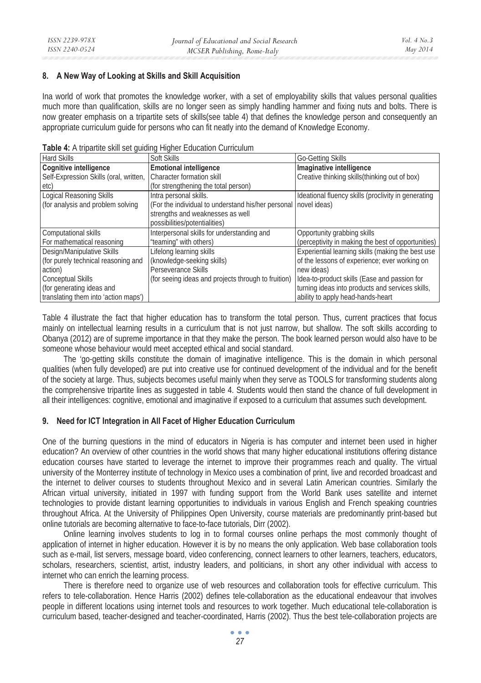### **8. A New Way of Looking at Skills and Skill Acquisition**

Ina world of work that promotes the knowledge worker, with a set of employability skills that values personal qualities much more than qualification, skills are no longer seen as simply handling hammer and fixing nuts and bolts. There is now greater emphasis on a tripartite sets of skills(see table 4) that defines the knowledge person and consequently an appropriate curriculum guide for persons who can fit neatly into the demand of Knowledge Economy.

| <b>Hard Skills</b>                     | <b>Table +.</b> A tripartite sixth set quiding i ligher Education Curriculum<br>Soft Skills | Go-Getting Skills                                   |
|----------------------------------------|---------------------------------------------------------------------------------------------|-----------------------------------------------------|
| Cognitive intelligence                 | <b>Emotional intelligence</b>                                                               | Imaginative intelligence                            |
| Self-Expression Skills (oral, written, | Character formation skill                                                                   | Creative thinking skills (thinking out of box)      |
| etc)                                   | (for strengthening the total person)                                                        |                                                     |
| Logical Reasoning Skills               | Intra personal skills.                                                                      | Ideational fluency skills (proclivity in generating |
| (for analysis and problem solving)     | (For the individual to understand his/her personal novel ideas)                             |                                                     |
|                                        | strengths and weaknesses as well                                                            |                                                     |
|                                        | possibilities/potentialities)                                                               |                                                     |
| Computational skills                   | Interpersonal skills for understanding and                                                  | Opportunity grabbing skills                         |
| For mathematical reasoning             | "teaming" with others)                                                                      | (perceptivity in making the best of opportunities)  |
| Design/Manipulative Skills             | Lifelong learning skills                                                                    | Experiential learning skills (making the best use   |
| (for purely technical reasoning and    | (knowledge-seeking skills)                                                                  | of the lessons of experience; ever working on       |
| action)                                | Perseverance Skills                                                                         | new ideas)                                          |
| <b>Conceptual Skills</b>               | (for seeing ideas and projects through to fruition)                                         | Idea-to-product skills (Ease and passion for        |
| (for generating ideas and              |                                                                                             | turning ideas into products and services skills,    |
| translating them into 'action maps')   |                                                                                             | ability to apply head-hands-heart                   |

**Table 4:** A tripartite skill set guiding Higher Education Curriculum

Table 4 illustrate the fact that higher education has to transform the total person. Thus, current practices that focus mainly on intellectual learning results in a curriculum that is not just narrow, but shallow. The soft skills according to Obanya (2012) are of supreme importance in that they make the person. The book learned person would also have to be someone whose behaviour would meet accepted ethical and social standard.

The 'go-getting skills constitute the domain of imaginative intelligence. This is the domain in which personal qualities (when fully developed) are put into creative use for continued development of the individual and for the benefit of the society at large. Thus, subjects becomes useful mainly when they serve as TOOLS for transforming students along the comprehensive tripartite lines as suggested in table 4. Students would then stand the chance of full development in all their intelligences: cognitive, emotional and imaginative if exposed to a curriculum that assumes such development.

### **9. Need for ICT Integration in All Facet of Higher Education Curriculum**

One of the burning questions in the mind of educators in Nigeria is has computer and internet been used in higher education? An overview of other countries in the world shows that many higher educational institutions offering distance education courses have started to leverage the internet to improve their programmes reach and quality. The virtual university of the Monterrey institute of technology in Mexico uses a combination of print, live and recorded broadcast and the internet to deliver courses to students throughout Mexico and in several Latin American countries. Similarly the African virtual university, initiated in 1997 with funding support from the World Bank uses satellite and internet technologies to provide distant learning opportunities to individuals in various English and French speaking countries throughout Africa. At the University of Philippines Open University, course materials are predominantly print-based but online tutorials are becoming alternative to face-to-face tutorials, Dirr (2002).

Online learning involves students to log in to formal courses online perhaps the most commonly thought of application of internet in higher education. However it is by no means the only application. Web base collaboration tools such as e-mail, list servers, message board, video conferencing, connect learners to other learners, teachers, educators, scholars, researchers, scientist, artist, industry leaders, and politicians, in short any other individual with access to internet who can enrich the learning process.

There is therefore need to organize use of web resources and collaboration tools for effective curriculum. This refers to tele-collaboration. Hence Harris (2002) defines tele-collaboration as the educational endeavour that involves people in different locations using internet tools and resources to work together. Much educational tele-collaboration is curriculum based, teacher-designed and teacher-coordinated, Harris (2002). Thus the best tele-collaboration projects are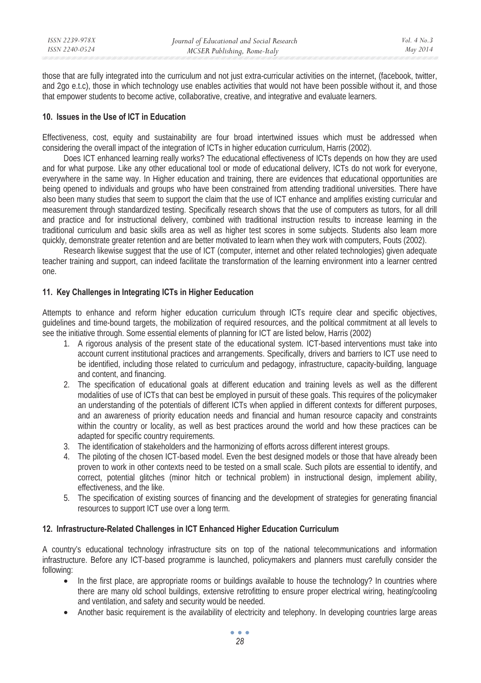those that are fully integrated into the curriculum and not just extra-curricular activities on the internet, (facebook, twitter, and 2go e.t.c), those in which technology use enables activities that would not have been possible without it, and those that empower students to become active, collaborative, creative, and integrative and evaluate learners.

### **10. Issues in the Use of ICT in Education**

Effectiveness, cost, equity and sustainability are four broad intertwined issues which must be addressed when considering the overall impact of the integration of ICTs in higher education curriculum, Harris (2002).

Does ICT enhanced learning really works? The educational effectiveness of ICTs depends on how they are used and for what purpose. Like any other educational tool or mode of educational delivery, ICTs do not work for everyone, everywhere in the same way. In Higher education and training, there are evidences that educational opportunities are being opened to individuals and groups who have been constrained from attending traditional universities. There have also been many studies that seem to support the claim that the use of ICT enhance and amplifies existing curricular and measurement through standardized testing. Specifically research shows that the use of computers as tutors, for all drill and practice and for instructional delivery, combined with traditional instruction results to increase learning in the traditional curriculum and basic skills area as well as higher test scores in some subjects. Students also learn more quickly, demonstrate greater retention and are better motivated to learn when they work with computers, Fouts (2002).

Research likewise suggest that the use of ICT (computer, internet and other related technologies) given adequate teacher training and support, can indeed facilitate the transformation of the learning environment into a learner centred one.

# **11. Key Challenges in Integrating ICTs in Higher Eeducation**

Attempts to enhance and reform higher education curriculum through ICTs require clear and specific objectives, guidelines and time-bound targets, the mobilization of required resources, and the political commitment at all levels to see the initiative through. Some essential elements of planning for ICT are listed below, Harris (2002)

- 1. A rigorous analysis of the present state of the educational system. ICT-based interventions must take into account current institutional practices and arrangements. Specifically, drivers and barriers to ICT use need to be identified, including those related to curriculum and pedagogy, infrastructure, capacity-building, language and content, and financing.
- 2. The specification of educational goals at different education and training levels as well as the different modalities of use of ICTs that can best be employed in pursuit of these goals. This requires of the policymaker an understanding of the potentials of different ICTs when applied in different contexts for different purposes, and an awareness of priority education needs and financial and human resource capacity and constraints within the country or locality, as well as best practices around the world and how these practices can be adapted for specific country requirements.
- 3. The identification of stakeholders and the harmonizing of efforts across different interest groups.
- 4. The piloting of the chosen ICT-based model. Even the best designed models or those that have already been proven to work in other contexts need to be tested on a small scale. Such pilots are essential to identify, and correct, potential glitches (minor hitch or technical problem) in instructional design, implement ability, effectiveness, and the like.
- 5. The specification of existing sources of financing and the development of strategies for generating financial resources to support ICT use over a long term.

## **12. Infrastructure-Related Challenges in ICT Enhanced Higher Education Curriculum**

A country's educational technology infrastructure sits on top of the national telecommunications and information infrastructure. Before any ICT-based programme is launched, policymakers and planners must carefully consider the following:

- In the first place, are appropriate rooms or buildings available to house the technology? In countries where there are many old school buildings, extensive retrofitting to ensure proper electrical wiring, heating/cooling and ventilation, and safety and security would be needed.
- Another basic requirement is the availability of electricity and telephony. In developing countries large areas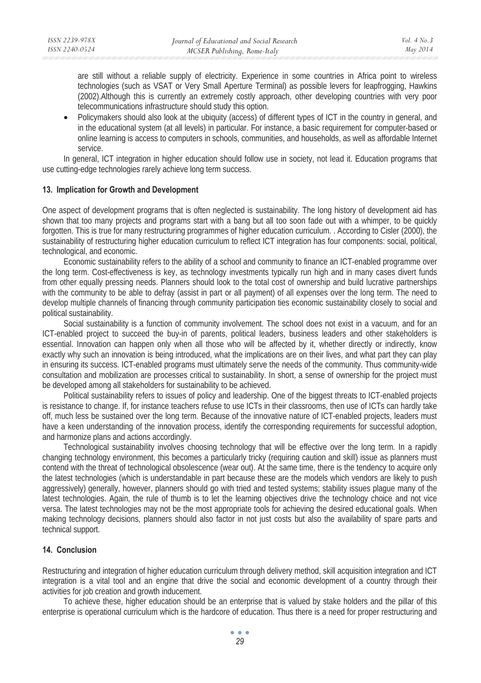are still without a reliable supply of electricity. Experience in some countries in Africa point to wireless technologies (such as VSAT or Very Small Aperture Terminal) as possible levers for leapfrogging, Hawkins (2002).Although this is currently an extremely costly approach, other developing countries with very poor telecommunications infrastructure should study this option.

• Policymakers should also look at the ubiquity (access) of different types of ICT in the country in general, and in the educational system (at all levels) in particular. For instance, a basic requirement for computer-based or online learning is access to computers in schools, communities, and households, as well as affordable Internet service.

In general, ICT integration in higher education should follow use in society, not lead it. Education programs that use cutting-edge technologies rarely achieve long term success.

### **13. Implication for Growth and Development**

One aspect of development programs that is often neglected is sustainability. The long history of development aid has shown that too many projects and programs start with a bang but all too soon fade out with a whimper, to be quickly forgotten. This is true for many restructuring programmes of higher education curriculum. . According to Cisler (2000), the sustainability of restructuring higher education curriculum to reflect ICT integration has four components: social, political, technological, and economic.

Economic sustainability refers to the ability of a school and community to finance an ICT-enabled programme over the long term. Cost-effectiveness is key, as technology investments typically run high and in many cases divert funds from other equally pressing needs. Planners should look to the total cost of ownership and build lucrative partnerships with the community to be able to defray (assist in part or all payment) of all expenses over the long term. The need to develop multiple channels of financing through community participation ties economic sustainability closely to social and political sustainability.

Social sustainability is a function of community involvement. The school does not exist in a vacuum, and for an ICT-enabled project to succeed the buy-in of parents, political leaders, business leaders and other stakeholders is essential. Innovation can happen only when all those who will be affected by it, whether directly or indirectly, know exactly why such an innovation is being introduced, what the implications are on their lives, and what part they can play in ensuring its success. ICT-enabled programs must ultimately serve the needs of the community. Thus community-wide consultation and mobilization are processes critical to sustainability. In short, a sense of ownership for the project must be developed among all stakeholders for sustainability to be achieved.

Political sustainability refers to issues of policy and leadership. One of the biggest threats to ICT-enabled projects is resistance to change. If, for instance teachers refuse to use ICTs in their classrooms, then use of ICTs can hardly take off, much less be sustained over the long term. Because of the innovative nature of ICT-enabled projects, leaders must have a keen understanding of the innovation process, identify the corresponding requirements for successful adoption, and harmonize plans and actions accordingly.

Technological sustainability involves choosing technology that will be effective over the long term. In a rapidly changing technology environment, this becomes a particularly tricky (requiring caution and skill) issue as planners must contend with the threat of technological obsolescence (wear out). At the same time, there is the tendency to acquire only the latest technologies (which is understandable in part because these are the models which vendors are likely to push aggressively) generally, however, planners should go with tried and tested systems; stability issues plague many of the latest technologies. Again, the rule of thumb is to let the learning objectives drive the technology choice and not vice versa. The latest technologies may not be the most appropriate tools for achieving the desired educational goals. When making technology decisions, planners should also factor in not just costs but also the availability of spare parts and technical support.

# **14. Conclusion**

Restructuring and integration of higher education curriculum through delivery method, skill acquisition integration and ICT integration is a vital tool and an engine that drive the social and economic development of a country through their activities for job creation and growth inducement.

To achieve these, higher education should be an enterprise that is valued by stake holders and the pillar of this enterprise is operational curriculum which is the hardcore of education. Thus there is a need for proper restructuring and